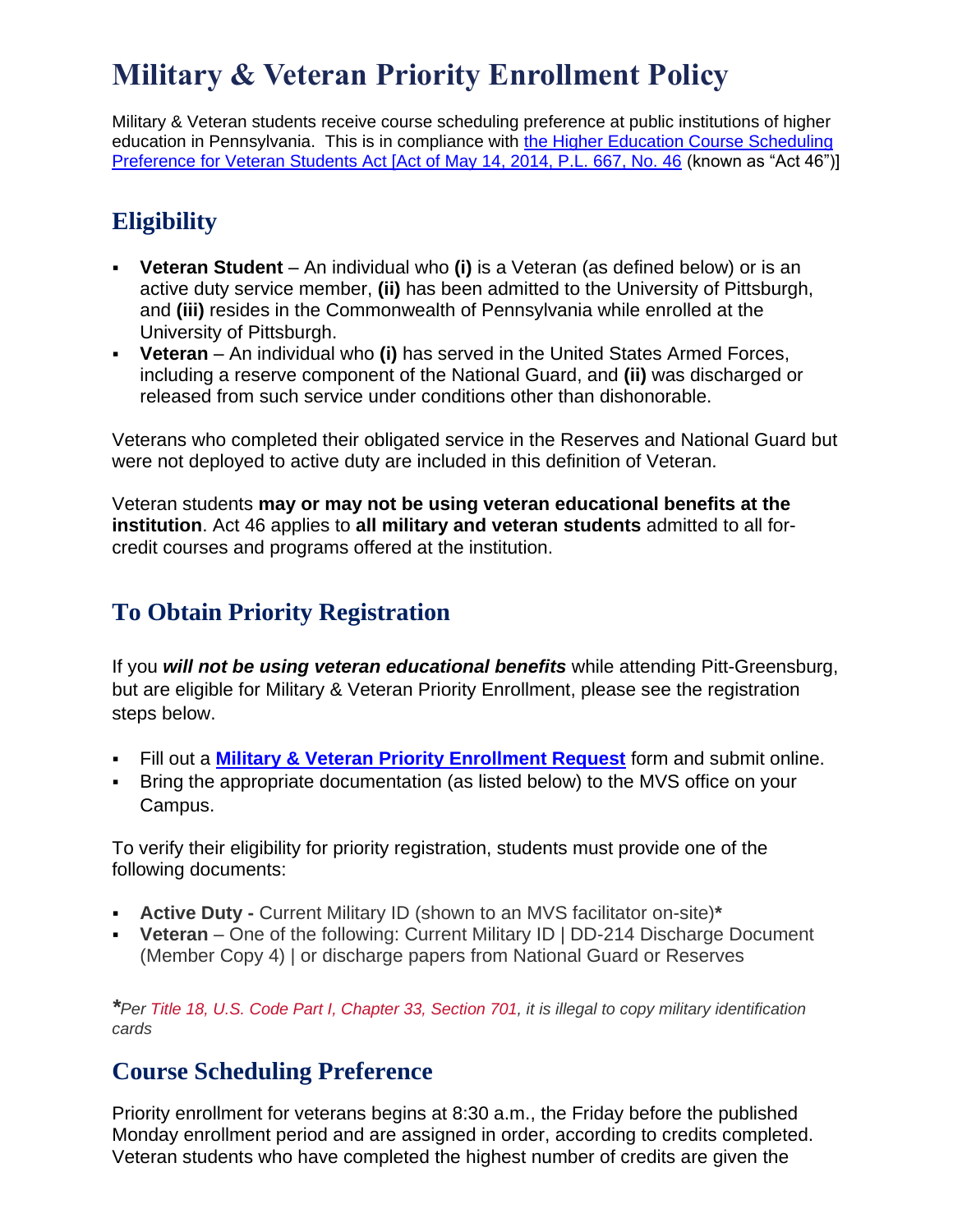## **Military & Veteran Priority Enrollment Policy**

Military & Veteran students receive course scheduling preference at public institutions of higher education in Pennsylvania. This is in compliance with [the Higher Education Course Scheduling](http://www.legis.state.pa.us/cfdocs/legis/li/uconsCheck.cfm?yr=2014&sessInd=0&act=46)  [Preference for Veteran Students Act \[Act of May 14, 2014, P.L. 667, No. 46](http://www.legis.state.pa.us/cfdocs/legis/li/uconsCheck.cfm?yr=2014&sessInd=0&act=46) (known as "Act 46")]

## **Eligibility**

- **Veteran Student** An individual who **(i)** is a Veteran (as defined below) or is an active duty service member, **(ii)** has been admitted to the University of Pittsburgh, and **(iii)** resides in the Commonwealth of Pennsylvania while enrolled at the University of Pittsburgh.
- **Veteran**  An individual who **(i)** has served in the United States Armed Forces, including a reserve component of the National Guard, and **(ii)** was discharged or released from such service under conditions other than dishonorable.

Veterans who completed their obligated service in the Reserves and National Guard but were not deployed to active duty are included in this definition of Veteran.

Veteran students **may or may not be using veteran educational benefits at the institution**. Act 46 applies to **all military and veteran students** admitted to all forcredit courses and programs offered at the institution.

## **To Obtain Priority Registration**

If you *will not be using veteran educational benefits* while attending Pitt-Greensburg, but are eligible for Military & Veteran Priority Enrollment, please see the registration steps below.

- Fill out a **Military & [Veteran Priority Enrollment Request](https://pitt.wufoo.com/forms/msbfvtb0z8zkzl/)** form and submit online.
- Bring the appropriate documentation (as listed below) to the MVS office on your Campus.

To verify their eligibility for priority registration, students must provide one of the following documents:

- **Active Duty -** Current Military ID (shown to an MVS facilitator on-site)**\***
- **Veteran** One of the following: Current Military ID | DD-214 Discharge Document (Member Copy 4) | or discharge papers from National Guard or Reserves

*\*Per [Title 18, U.S. Code Part I, Chapter 33, Section 701,](https://www.law.cornell.edu/uscode/text/18/701) it is illegal to copy military identification cards*

## **Course Scheduling Preference**

Priority enrollment for veterans begins at 8:30 a.m., the Friday before the published Monday enrollment period and are assigned in order, according to credits completed. Veteran students who have completed the highest number of credits are given the